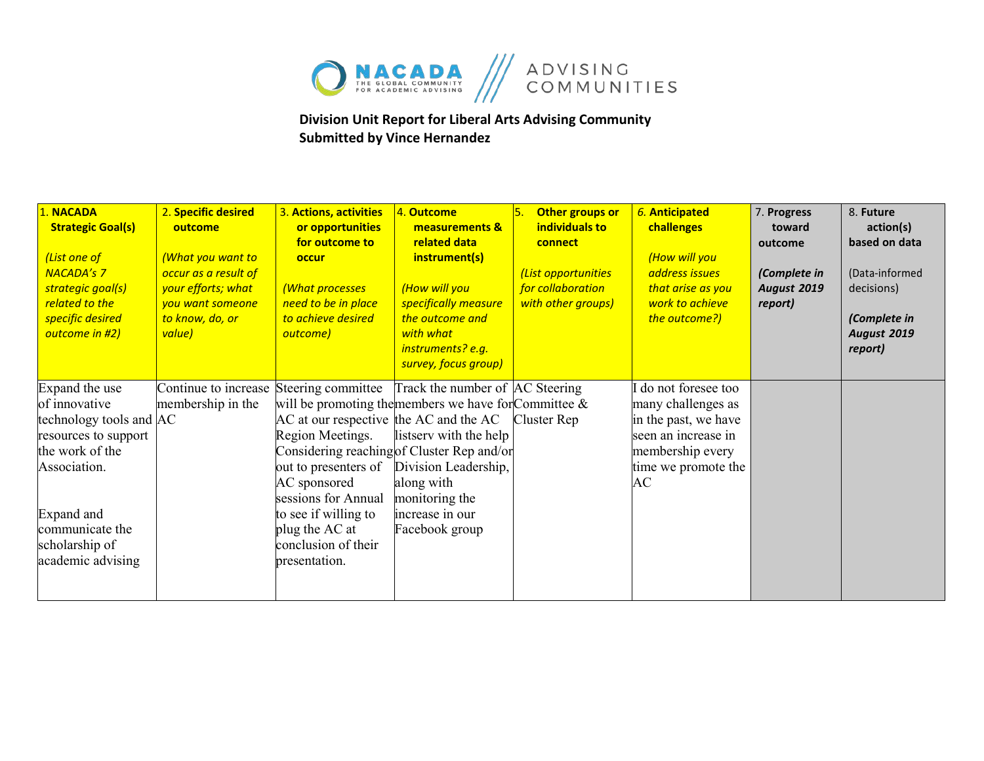

## **Division Unit Report for Liberal Arts Advising Community Submitted by Vince Hernandez**

| 1. NACADA<br><b>Strategic Goal(s)</b><br>(List one of<br><b>NACADA's 7</b><br>strategic goal(s)<br>related to the<br>specific desired<br>outcome in #2) | 2. Specific desired<br>outcome<br>(What you want to<br>occur as a result of<br>your efforts; what<br>you want someone<br>to know, do, or<br>value) | 3. Actions, activities<br>or opportunities<br>for outcome to<br>occur<br>(What processes<br>need to be in place<br>to achieve desired<br>outcome) | 4. Outcome<br>measurements &<br>related data<br>instrument(s)<br>(How will you<br>specifically measure<br>the outcome and<br>with what<br>instruments? e.g.<br>survey, focus group) | Other groups or<br>individuals to<br>connect<br>(List opportunities<br>for collaboration<br>with other groups) | 6. Anticipated<br>challenges<br>(How will you<br>address issues<br>that arise as you<br>work to achieve<br>the outcome?) | 7. Progress<br>toward<br>outcome<br>(Complete in<br><b>August 2019</b><br>report) | 8. Future<br>action(s)<br>based on data<br>(Data-informed<br>decisions)<br>(Complete in<br>August 2019<br>report) |
|---------------------------------------------------------------------------------------------------------------------------------------------------------|----------------------------------------------------------------------------------------------------------------------------------------------------|---------------------------------------------------------------------------------------------------------------------------------------------------|-------------------------------------------------------------------------------------------------------------------------------------------------------------------------------------|----------------------------------------------------------------------------------------------------------------|--------------------------------------------------------------------------------------------------------------------------|-----------------------------------------------------------------------------------|-------------------------------------------------------------------------------------------------------------------|
| Expand the use<br>of innovative                                                                                                                         | Continue to increase Steering committee<br>membership in the                                                                                       |                                                                                                                                                   | Track the number of AC Steering<br>will be promoting the members we have for Committee $\&$                                                                                         |                                                                                                                | I do not foresee too<br>many challenges as                                                                               |                                                                                   |                                                                                                                   |
| technology tools and AC                                                                                                                                 |                                                                                                                                                    | AC at our respective the AC and the AC                                                                                                            |                                                                                                                                                                                     | Cluster Rep                                                                                                    | in the past, we have                                                                                                     |                                                                                   |                                                                                                                   |
| resources to support<br>the work of the                                                                                                                 |                                                                                                                                                    | Region Meetings.                                                                                                                                  | listserv with the help<br>Considering reaching of Cluster Rep and/or                                                                                                                |                                                                                                                | seen an increase in<br>membership every                                                                                  |                                                                                   |                                                                                                                   |
| Association.                                                                                                                                            |                                                                                                                                                    |                                                                                                                                                   | out to presenters of Division Leadership,                                                                                                                                           |                                                                                                                | time we promote the                                                                                                      |                                                                                   |                                                                                                                   |
|                                                                                                                                                         |                                                                                                                                                    | AC sponsored                                                                                                                                      | along with                                                                                                                                                                          |                                                                                                                | AC                                                                                                                       |                                                                                   |                                                                                                                   |
| Expand and                                                                                                                                              |                                                                                                                                                    | sessions for Annual<br>to see if willing to                                                                                                       | monitoring the<br>increase in our                                                                                                                                                   |                                                                                                                |                                                                                                                          |                                                                                   |                                                                                                                   |
| communicate the                                                                                                                                         |                                                                                                                                                    | plug the AC at                                                                                                                                    | Facebook group                                                                                                                                                                      |                                                                                                                |                                                                                                                          |                                                                                   |                                                                                                                   |
| scholarship of                                                                                                                                          |                                                                                                                                                    | conclusion of their                                                                                                                               |                                                                                                                                                                                     |                                                                                                                |                                                                                                                          |                                                                                   |                                                                                                                   |
| academic advising                                                                                                                                       |                                                                                                                                                    | presentation.                                                                                                                                     |                                                                                                                                                                                     |                                                                                                                |                                                                                                                          |                                                                                   |                                                                                                                   |
|                                                                                                                                                         |                                                                                                                                                    |                                                                                                                                                   |                                                                                                                                                                                     |                                                                                                                |                                                                                                                          |                                                                                   |                                                                                                                   |